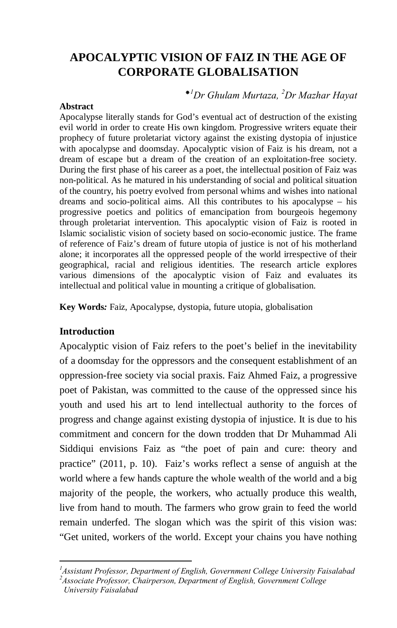# **APOCALYPTIC VISION OF FAIZ IN THE AGE OF CORPORATE GLOBALISATION**

## *1 Dr Ghulam Murtaza, 2 Dr Mazhar Hayat*

#### **Abstract**

Apocalypse literally stands for God's eventual act of destruction of the existing evil world in order to create His own kingdom. Progressive writers equate their prophecy of future proletariat victory against the existing dystopia of injustice with apocalypse and doomsday. Apocalyptic vision of Faiz is his dream, not a dream of escape but a dream of the creation of an exploitation-free society. During the first phase of his career as a poet, the intellectual position of Faiz was non-political. As he matured in his understanding of social and political situation of the country, his poetry evolved from personal whims and wishes into national dreams and socio-political aims. All this contributes to his apocalypse – his progressive poetics and politics of emancipation from bourgeois hegemony through proletariat intervention. This apocalyptic vision of Faiz is rooted in Islamic socialistic vision of society based on socio-economic justice. The frame of reference of Faiz's dream of future utopia of justice is not of his motherland alone; it incorporates all the oppressed people of the world irrespective of their geographical, racial and religious identities. The research article explores various dimensions of the apocalyptic vision of Faiz and evaluates its intellectual and political value in mounting a critique of globalisation.

**Key Words***:* Faiz, Apocalypse, dystopia, future utopia, globalisation

### **Introduction**

 $\overline{a}$ 

Apocalyptic vision of Faiz refers to the poet's belief in the inevitability of a doomsday for the oppressors and the consequent establishment of an oppression-free society via social praxis. Faiz Ahmed Faiz, a progressive poet of Pakistan, was committed to the cause of the oppressed since his youth and used his art to lend intellectual authority to the forces of progress and change against existing dystopia of injustice. It is due to his commitment and concern for the down trodden that Dr Muhammad Ali Siddiqui envisions Faiz as "the poet of pain and cure: theory and practice" (2011, p. 10). Faiz's works reflect a sense of anguish at the world where a few hands capture the whole wealth of the world and a big majority of the people, the workers, who actually produce this wealth, live from hand to mouth. The farmers who grow grain to feed the world remain underfed. The slogan which was the spirit of this vision was: "Get united, workers of the world. Except your chains you have nothing

*<sup>1</sup> Assistant Professor, Department of English, Government College University Faisalabad*

*<sup>2</sup> Associate Professor, Chairperson, Department of English, Government College University Faisalabad*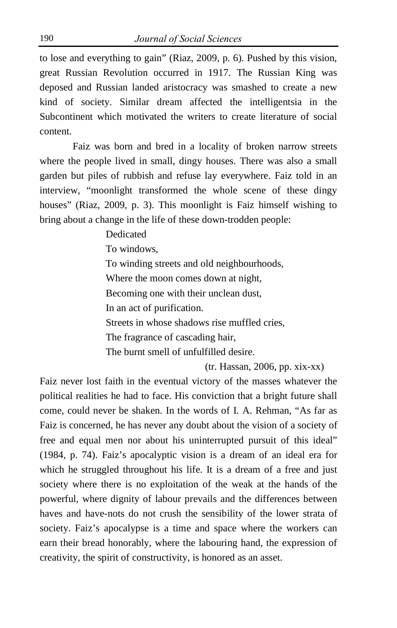to lose and everything to gain" (Riaz, 2009, p. 6). Pushed by this vision, great Russian Revolution occurred in 1917. The Russian King was deposed and Russian landed aristocracy was smashed to create a new kind of society. Similar dream affected the intelligentsia in the Subcontinent which motivated the writers to create literature of social content.

Faiz was born and bred in a locality of broken narrow streets where the people lived in small, dingy houses. There was also a small garden but piles of rubbish and refuse lay everywhere. Faiz told in an interview, "moonlight transformed the whole scene of these dingy houses" (Riaz, 2009, p. 3). This moonlight is Faiz himself wishing to bring about a change in the life of these down-trodden people:

> Dedicated To windows, To winding streets and old neighbourhoods, Where the moon comes down at night, Becoming one with their unclean dust, In an act of purification. Streets in whose shadows rise muffled cries, The fragrance of cascading hair, The burnt smell of unfulfilled desire.

> > (tr. Hassan, 2006, pp. xix-xx)

Faiz never lost faith in the eventual victory of the masses whatever the political realities he had to face. His conviction that a bright future shall come, could never be shaken. In the words of I. A. Rehman, "As far as Faiz is concerned, he has never any doubt about the vision of a society of free and equal men nor about his uninterrupted pursuit of this ideal" (1984, p. 74). Faiz's apocalyptic vision is a dream of an ideal era for which he struggled throughout his life. It is a dream of a free and just society where there is no exploitation of the weak at the hands of the powerful, where dignity of labour prevails and the differences between haves and have-nots do not crush the sensibility of the lower strata of society. Faiz's apocalypse is a time and space where the workers can earn their bread honorably, where the labouring hand, the expression of creativity, the spirit of constructivity, is honored as an asset.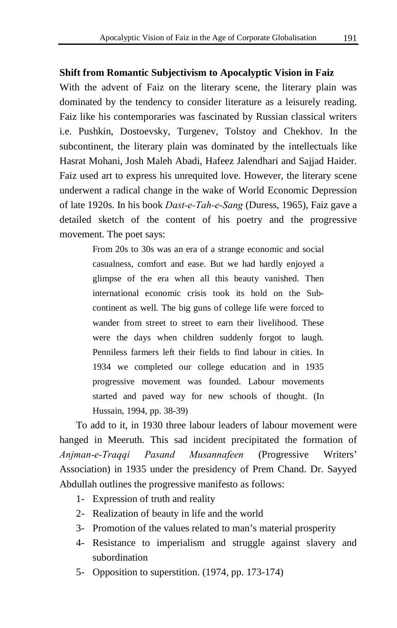#### **Shift from Romantic Subjectivism to Apocalyptic Vision in Faiz**

With the advent of Faiz on the literary scene, the literary plain was dominated by the tendency to consider literature as a leisurely reading. Faiz like his contemporaries was fascinated by Russian classical writers i.e. Pushkin, Dostoevsky, Turgenev, Tolstoy and Chekhov. In the subcontinent, the literary plain was dominated by the intellectuals like Hasrat Mohani, Josh Maleh Abadi, Hafeez Jalendhari and Sajjad Haider. Faiz used art to express his unrequited love. However, the literary scene underwent a radical change in the wake of World Economic Depression of late 1920s. In his book *Dast-e-Tah-e-Sang* (Duress, 1965), Faiz gave a detailed sketch of the content of his poetry and the progressive movement. The poet says:

> From 20s to 30s was an era of a strange economic and social casualness, comfort and ease. But we had hardly enjoyed a glimpse of the era when all this beauty vanished. Then international economic crisis took its hold on the Subcontinent as well. The big guns of college life were forced to wander from street to street to earn their livelihood. These were the days when children suddenly forgot to laugh. Penniless farmers left their fields to find labour in cities. In 1934 we completed our college education and in 1935 progressive movement was founded. Labour movements started and paved way for new schools of thought. (In Hussain, 1994, pp. 38-39)

To add to it, in 1930 three labour leaders of labour movement were hanged in Meeruth. This sad incident precipitated the formation of *Anjman-e-Traqqi Pasand Musannafeen* (Progressive Writers' Association) in 1935 under the presidency of Prem Chand. Dr. Sayyed Abdullah outlines the progressive manifesto as follows:

- 1- Expression of truth and reality
- 2- Realization of beauty in life and the world
- 3- Promotion of the values related to man's material prosperity
- 4- Resistance to imperialism and struggle against slavery and subordination
- 5- Opposition to superstition. (1974, pp. 173-174)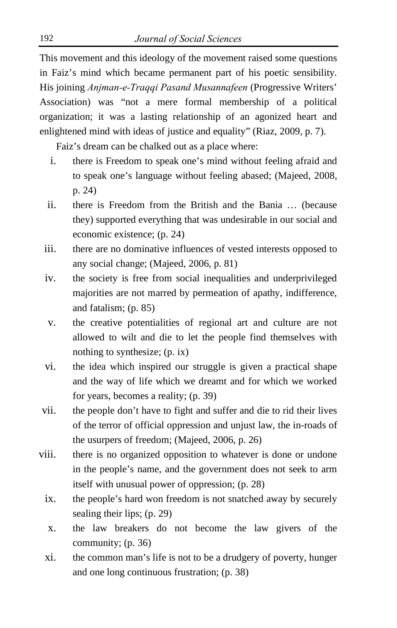This movement and this ideology of the movement raised some questions in Faiz's mind which became permanent part of his poetic sensibility. His joining *Anjman-e-Traqqi Pasand Musannafeen* (Progressive Writers' Association) was "not a mere formal membership of a political organization; it was a lasting relationship of an agonized heart and enlightened mind with ideas of justice and equality" (Riaz, 2009, p. 7).

Faiz's dream can be chalked out as a place where:

- i. there is Freedom to speak one's mind without feeling afraid and to speak one's language without feeling abased; (Majeed, 2008, p. 24)
- ii. there is Freedom from the British and the Bania … (because they) supported everything that was undesirable in our social and economic existence; (p. 24)
- iii. there are no dominative influences of vested interests opposed to any social change; (Majeed, 2006, p. 81)
- iv. the society is free from social inequalities and underprivileged majorities are not marred by permeation of apathy, indifference, and fatalism; (p. 85)
- v. the creative potentialities of regional art and culture are not allowed to wilt and die to let the people find themselves with nothing to synthesize; (p. ix)
- vi. the idea which inspired our struggle is given a practical shape and the way of life which we dreamt and for which we worked for years, becomes a reality; (p. 39)
- vii. the people don't have to fight and suffer and die to rid their lives of the terror of official oppression and unjust law, the in-roads of the usurpers of freedom; (Majeed, 2006, p. 26)
- viii. there is no organized opposition to whatever is done or undone in the people's name, and the government does not seek to arm itself with unusual power of oppression; (p. 28)
	- ix. the people's hard won freedom is not snatched away by securely sealing their lips; (p. 29)
	- x. the law breakers do not become the law givers of the community; (p. 36)
	- xi. the common man's life is not to be a drudgery of poverty, hunger and one long continuous frustration; (p. 38)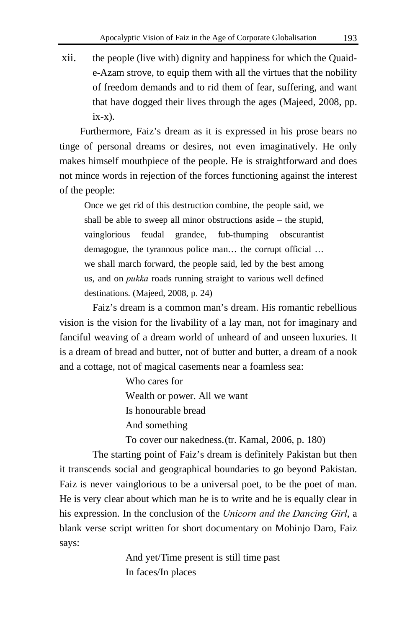xii. the people (live with) dignity and happiness for which the Quaide-Azam strove, to equip them with all the virtues that the nobility of freedom demands and to rid them of fear, suffering, and want that have dogged their lives through the ages (Majeed, 2008, pp.  $ix-x$ ).

 Furthermore, Faiz's dream as it is expressed in his prose bears no tinge of personal dreams or desires, not even imaginatively. He only makes himself mouthpiece of the people. He is straightforward and does not mince words in rejection of the forces functioning against the interest of the people:

Once we get rid of this destruction combine, the people said, we shall be able to sweep all minor obstructions aside – the stupid, vainglorious feudal grandee, fub-thumping obscurantist demagogue, the tyrannous police man… the corrupt official … we shall march forward, the people said, led by the best among us, and on *pukka* roads running straight to various well defined destinations. (Majeed, 2008, p. 24)

Faiz's dream is a common man's dream. His romantic rebellious vision is the vision for the livability of a lay man, not for imaginary and fanciful weaving of a dream world of unheard of and unseen luxuries. It is a dream of bread and butter, not of butter and butter, a dream of a nook and a cottage, not of magical casements near a foamless sea:

> Who cares for Wealth or power. All we want Is honourable bread And something

To cover our nakedness.(tr. Kamal, 2006, p. 180)

The starting point of Faiz's dream is definitely Pakistan but then it transcends social and geographical boundaries to go beyond Pakistan. Faiz is never vainglorious to be a universal poet, to be the poet of man. He is very clear about which man he is to write and he is equally clear in his expression. In the conclusion of the *Unicorn and the Dancing Girl*, a blank verse script written for short documentary on Mohinjo Daro, Faiz says:

> And yet/Time present is still time past In faces/In places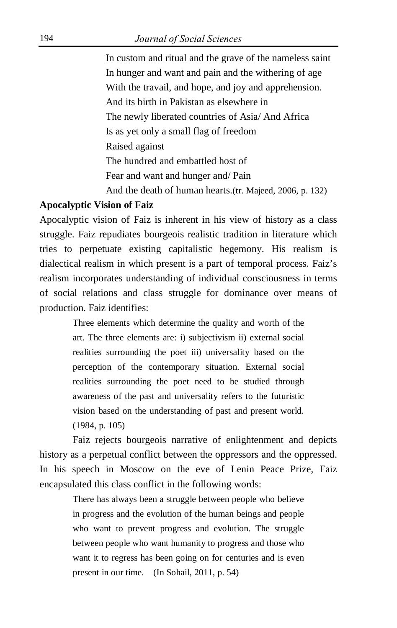In custom and ritual and the grave of the nameless saint In hunger and want and pain and the withering of age With the travail, and hope, and joy and apprehension. And its birth in Pakistan as elsewhere in The newly liberated countries of Asia/ And Africa Is as yet only a small flag of freedom Raised against The hundred and embattled host of Fear and want and hunger and/ Pain And the death of human hearts.(tr. Majeed, 2006, p. 132)

#### **Apocalyptic Vision of Faiz**

Apocalyptic vision of Faiz is inherent in his view of history as a class struggle. Faiz repudiates bourgeois realistic tradition in literature which tries to perpetuate existing capitalistic hegemony. His realism is dialectical realism in which present is a part of temporal process. Faiz's realism incorporates understanding of individual consciousness in terms of social relations and class struggle for dominance over means of production. Faiz identifies:

> Three elements which determine the quality and worth of the art. The three elements are: i) subjectivism ii) external social realities surrounding the poet iii) universality based on the perception of the contemporary situation. External social realities surrounding the poet need to be studied through awareness of the past and universality refers to the futuristic vision based on the understanding of past and present world. (1984, p. 105)

Faiz rejects bourgeois narrative of enlightenment and depicts history as a perpetual conflict between the oppressors and the oppressed. In his speech in Moscow on the eve of Lenin Peace Prize, Faiz encapsulated this class conflict in the following words:

> There has always been a struggle between people who believe in progress and the evolution of the human beings and people who want to prevent progress and evolution. The struggle between people who want humanity to progress and those who want it to regress has been going on for centuries and is even present in our time. (In Sohail, 2011, p. 54)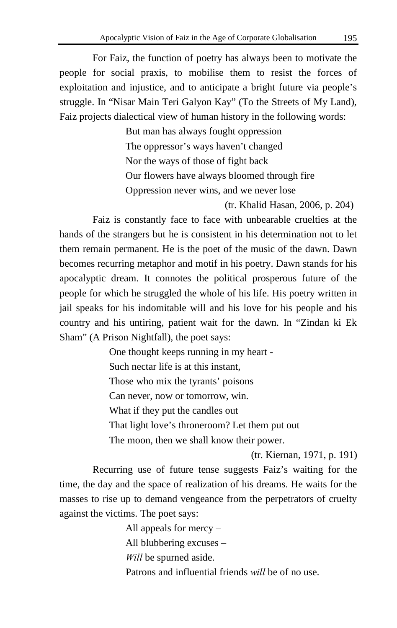For Faiz, the function of poetry has always been to motivate the people for social praxis, to mobilise them to resist the forces of exploitation and injustice, and to anticipate a bright future via people's struggle. In "Nisar Main Teri Galyon Kay" (To the Streets of My Land), Faiz projects dialectical view of human history in the following words:

> But man has always fought oppression The oppressor's ways haven't changed Nor the ways of those of fight back Our flowers have always bloomed through fire Oppression never wins, and we never lose

> > (tr. Khalid Hasan, 2006, p. 204)

Faiz is constantly face to face with unbearable cruelties at the hands of the strangers but he is consistent in his determination not to let them remain permanent. He is the poet of the music of the dawn. Dawn becomes recurring metaphor and motif in his poetry. Dawn stands for his apocalyptic dream. It connotes the political prosperous future of the people for which he struggled the whole of his life. His poetry written in jail speaks for his indomitable will and his love for his people and his country and his untiring, patient wait for the dawn. In "Zindan ki Ek Sham" (A Prison Nightfall), the poet says:

> One thought keeps running in my heart - Such nectar life is at this instant, Those who mix the tyrants' poisons Can never, now or tomorrow, win. What if they put the candles out That light love's throneroom? Let them put out The moon, then we shall know their power.

> > (tr. Kiernan, 1971, p. 191)

Recurring use of future tense suggests Faiz's waiting for the time, the day and the space of realization of his dreams. He waits for the masses to rise up to demand vengeance from the perpetrators of cruelty against the victims. The poet says:

> All appeals for mercy – All blubbering excuses – *Will* be spurned aside. Patrons and influential friends *will* be of no use.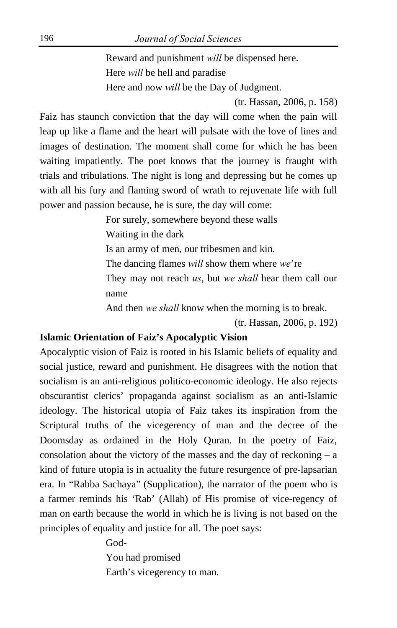Reward and punishment *will* be dispensed here. Here *will* be hell and paradise Here and now *will* be the Day of Judgment.

(tr. Hassan, 2006, p. 158)

Faiz has staunch conviction that the day will come when the pain will leap up like a flame and the heart will pulsate with the love of lines and images of destination. The moment shall come for which he has been waiting impatiently. The poet knows that the journey is fraught with trials and tribulations. The night is long and depressing but he comes up with all his fury and flaming sword of wrath to rejuvenate life with full power and passion because, he is sure, the day will come:

> For surely, somewhere beyond these walls Waiting in the dark Is an army of men, our tribesmen and kin. The dancing flames *will* show them where *we*'re They may not reach *us*, but *we shall* hear them call our name And then *we shall* know when the morning is to break.

> > (tr. Hassan, 2006, p. 192)

#### **Islamic Orientation of Faiz's Apocalyptic Vision**

Apocalyptic vision of Faiz is rooted in his Islamic beliefs of equality and social justice, reward and punishment. He disagrees with the notion that socialism is an anti-religious politico-economic ideology. He also rejects obscurantist clerics' propaganda against socialism as an anti-Islamic ideology. The historical utopia of Faiz takes its inspiration from the Scriptural truths of the vicegerency of man and the decree of the Doomsday as ordained in the Holy Quran. In the poetry of Faiz, consolation about the victory of the masses and the day of reckoning  $- a$ kind of future utopia is in actuality the future resurgence of pre-lapsarian era. In "Rabba Sachaya" (Supplication), the narrator of the poem who is a farmer reminds his 'Rab' (Allah) of His promise of vice-regency of man on earth because the world in which he is living is not based on the principles of equality and justice for all. The poet says:

> God- You had promised Earth's vicegerency to man.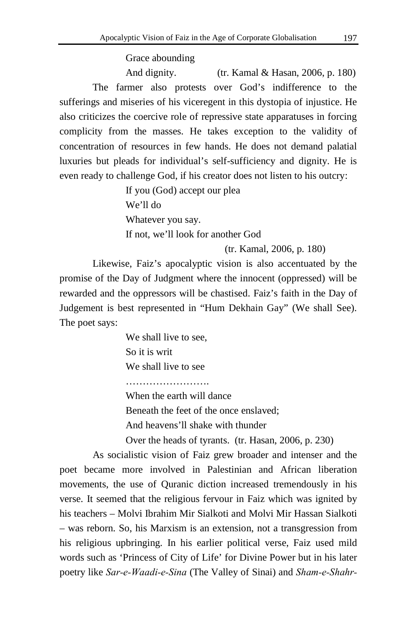Grace abounding

And dignity. (tr. Kamal & Hasan, 2006, p. 180) The farmer also protests over God's indifference to the sufferings and miseries of his viceregent in this dystopia of injustice. He also criticizes the coercive role of repressive state apparatuses in forcing complicity from the masses. He takes exception to the validity of concentration of resources in few hands. He does not demand palatial luxuries but pleads for individual's self-sufficiency and dignity. He is even ready to challenge God, if his creator does not listen to his outcry:

> If you (God) accept our plea We'll do Whatever you say. If not, we'll look for another God

> > (tr. Kamal, 2006, p. 180)

Likewise, Faiz's apocalyptic vision is also accentuated by the promise of the Day of Judgment where the innocent (oppressed) will be rewarded and the oppressors will be chastised. Faiz's faith in the Day of Judgement is best represented in "Hum Dekhain Gay" (We shall See). The poet says:

> We shall live to see, So it is writ We shall live to see

…………………………

When the earth will dance

Beneath the feet of the once enslaved;

And heavens'll shake with thunder

Over the heads of tyrants. (tr. Hasan, 2006, p. 230)

As socialistic vision of Faiz grew broader and intenser and the poet became more involved in Palestinian and African liberation movements, the use of Quranic diction increased tremendously in his verse. It seemed that the religious fervour in Faiz which was ignited by his teachers – Molvi Ibrahim Mir Sialkoti and Molvi Mir Hassan Sialkoti – was reborn. So, his Marxism is an extension, not a transgression from his religious upbringing. In his earlier political verse, Faiz used mild words such as 'Princess of City of Life' for Divine Power but in his later poetry like *Sar-e-Waadi-e-Sina* (The Valley of Sinai) and *Sham-e-Shahr-*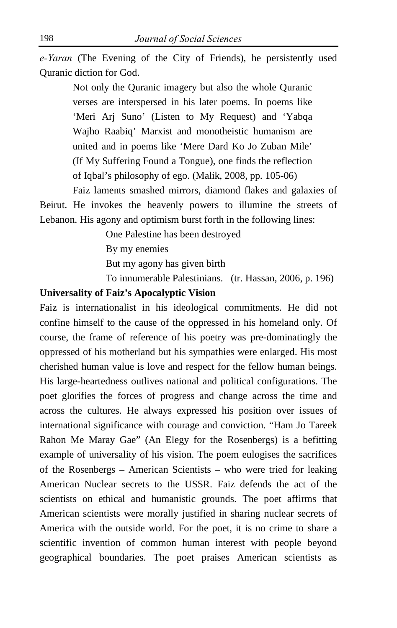*e-Yaran* (The Evening of the City of Friends), he persistently used Quranic diction for God.

> Not only the Quranic imagery but also the whole Quranic verses are interspersed in his later poems. In poems like 'Meri Arj Suno' (Listen to My Request) and 'Yabqa Wajho Raabiq' Marxist and monotheistic humanism are united and in poems like 'Mere Dard Ko Jo Zuban Mile' (If My Suffering Found a Tongue), one finds the reflection of Iqbal's philosophy of ego. (Malik, 2008, pp. 105-06)

Faiz laments smashed mirrors, diamond flakes and galaxies of Beirut. He invokes the heavenly powers to illumine the streets of Lebanon. His agony and optimism burst forth in the following lines:

One Palestine has been destroyed

By my enemies

But my agony has given birth

To innumerable Palestinians. (tr. Hassan, 2006, p. 196)

#### **Universality of Faiz's Apocalyptic Vision**

Faiz is internationalist in his ideological commitments. He did not confine himself to the cause of the oppressed in his homeland only. Of course, the frame of reference of his poetry was pre-dominatingly the oppressed of his motherland but his sympathies were enlarged. His most cherished human value is love and respect for the fellow human beings. His large-heartedness outlives national and political configurations. The poet glorifies the forces of progress and change across the time and across the cultures. He always expressed his position over issues of international significance with courage and conviction. "Ham Jo Tareek Rahon Me Maray Gae" (An Elegy for the Rosenbergs) is a befitting example of universality of his vision. The poem eulogises the sacrifices of the Rosenbergs – American Scientists – who were tried for leaking American Nuclear secrets to the USSR. Faiz defends the act of the scientists on ethical and humanistic grounds. The poet affirms that American scientists were morally justified in sharing nuclear secrets of America with the outside world. For the poet, it is no crime to share a scientific invention of common human interest with people beyond geographical boundaries. The poet praises American scientists as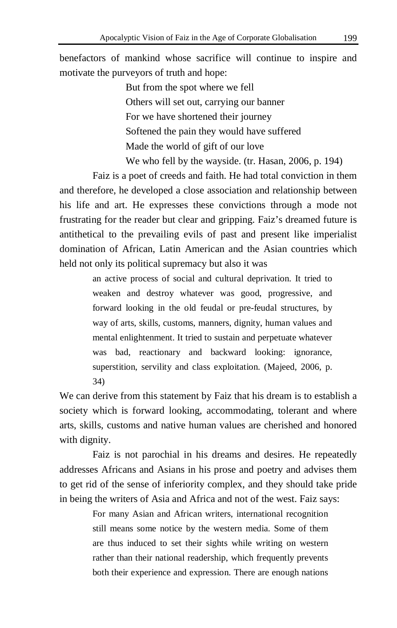benefactors of mankind whose sacrifice will continue to inspire and motivate the purveyors of truth and hope:

> But from the spot where we fell Others will set out, carrying our banner For we have shortened their journey Softened the pain they would have suffered Made the world of gift of our love We who fell by the wayside. (tr. Hasan, 2006, p. 194)

Faiz is a poet of creeds and faith. He had total conviction in them and therefore, he developed a close association and relationship between his life and art. He expresses these convictions through a mode not frustrating for the reader but clear and gripping. Faiz's dreamed future is antithetical to the prevailing evils of past and present like imperialist domination of African, Latin American and the Asian countries which held not only its political supremacy but also it was

> an active process of social and cultural deprivation. It tried to weaken and destroy whatever was good, progressive, and forward looking in the old feudal or pre-feudal structures, by way of arts, skills, customs, manners, dignity, human values and mental enlightenment. It tried to sustain and perpetuate whatever was bad, reactionary and backward looking: ignorance, superstition, servility and class exploitation. (Majeed, 2006, p. 34)

We can derive from this statement by Faiz that his dream is to establish a society which is forward looking, accommodating, tolerant and where arts, skills, customs and native human values are cherished and honored with dignity.

Faiz is not parochial in his dreams and desires. He repeatedly addresses Africans and Asians in his prose and poetry and advises them to get rid of the sense of inferiority complex, and they should take pride in being the writers of Asia and Africa and not of the west. Faiz says:

> For many Asian and African writers, international recognition still means some notice by the western media. Some of them are thus induced to set their sights while writing on western rather than their national readership, which frequently prevents both their experience and expression. There are enough nations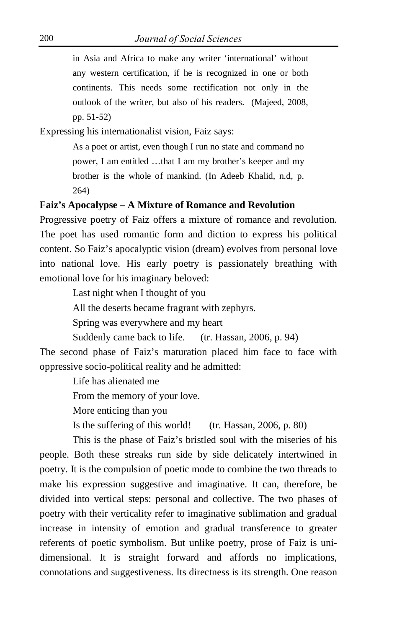in Asia and Africa to make any writer 'international' without any western certification, if he is recognized in one or both continents. This needs some rectification not only in the outlook of the writer, but also of his readers. (Majeed, 2008, pp. 51-52)

Expressing his internationalist vision, Faiz says:

As a poet or artist, even though I run no state and command no power, I am entitled …that I am my brother's keeper and my brother is the whole of mankind. (In Adeeb Khalid, n.d, p. 264)

#### **Faiz's Apocalypse – A Mixture of Romance and Revolution**

Progressive poetry of Faiz offers a mixture of romance and revolution. The poet has used romantic form and diction to express his political content. So Faiz's apocalyptic vision (dream) evolves from personal love into national love. His early poetry is passionately breathing with emotional love for his imaginary beloved:

Last night when I thought of you

All the deserts became fragrant with zephyrs.

Spring was everywhere and my heart

Suddenly came back to life. (tr. Hassan, 2006, p. 94)

The second phase of Faiz's maturation placed him face to face with oppressive socio-political reality and he admitted:

> Life has alienated me From the memory of your love. More enticing than you Is the suffering of this world! (tr. Hassan, 2006, p. 80)

This is the phase of Faiz's bristled soul with the miseries of his people. Both these streaks run side by side delicately intertwined in poetry. It is the compulsion of poetic mode to combine the two threads to make his expression suggestive and imaginative. It can, therefore, be divided into vertical steps: personal and collective. The two phases of poetry with their verticality refer to imaginative sublimation and gradual increase in intensity of emotion and gradual transference to greater referents of poetic symbolism. But unlike poetry, prose of Faiz is unidimensional. It is straight forward and affords no implications, connotations and suggestiveness. Its directness is its strength. One reason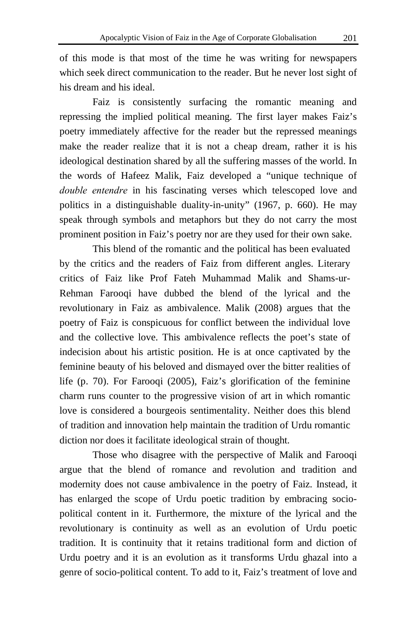of this mode is that most of the time he was writing for newspapers which seek direct communication to the reader. But he never lost sight of his dream and his ideal.

Faiz is consistently surfacing the romantic meaning and repressing the implied political meaning. The first layer makes Faiz's poetry immediately affective for the reader but the repressed meanings make the reader realize that it is not a cheap dream, rather it is his ideological destination shared by all the suffering masses of the world. In the words of Hafeez Malik, Faiz developed a "unique technique of *double entendre* in his fascinating verses which telescoped love and politics in a distinguishable duality-in-unity" (1967, p. 660). He may speak through symbols and metaphors but they do not carry the most prominent position in Faiz's poetry nor are they used for their own sake.

This blend of the romantic and the political has been evaluated by the critics and the readers of Faiz from different angles. Literary critics of Faiz like Prof Fateh Muhammad Malik and Shams-ur-Rehman Farooqi have dubbed the blend of the lyrical and the revolutionary in Faiz as ambivalence. Malik (2008) argues that the poetry of Faiz is conspicuous for conflict between the individual love and the collective love. This ambivalence reflects the poet's state of indecision about his artistic position. He is at once captivated by the feminine beauty of his beloved and dismayed over the bitter realities of life (p. 70). For Farooqi (2005), Faiz's glorification of the feminine charm runs counter to the progressive vision of art in which romantic love is considered a bourgeois sentimentality. Neither does this blend of tradition and innovation help maintain the tradition of Urdu romantic diction nor does it facilitate ideological strain of thought.

Those who disagree with the perspective of Malik and Farooqi argue that the blend of romance and revolution and tradition and modernity does not cause ambivalence in the poetry of Faiz. Instead, it has enlarged the scope of Urdu poetic tradition by embracing sociopolitical content in it. Furthermore, the mixture of the lyrical and the revolutionary is continuity as well as an evolution of Urdu poetic tradition. It is continuity that it retains traditional form and diction of Urdu poetry and it is an evolution as it transforms Urdu ghazal into a genre of socio-political content. To add to it, Faiz's treatment of love and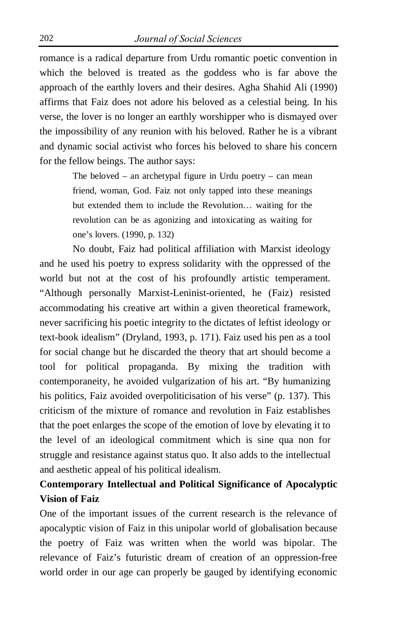romance is a radical departure from Urdu romantic poetic convention in which the beloved is treated as the goddess who is far above the approach of the earthly lovers and their desires. Agha Shahid Ali (1990) affirms that Faiz does not adore his beloved as a celestial being. In his verse, the lover is no longer an earthly worshipper who is dismayed over the impossibility of any reunion with his beloved. Rather he is a vibrant and dynamic social activist who forces his beloved to share his concern for the fellow beings. The author says:

> The beloved – an archetypal figure in Urdu poetry – can mean friend, woman, God. Faiz not only tapped into these meanings but extended them to include the Revolution… waiting for the revolution can be as agonizing and intoxicating as waiting for one's lovers. (1990, p. 132)

No doubt, Faiz had political affiliation with Marxist ideology and he used his poetry to express solidarity with the oppressed of the world but not at the cost of his profoundly artistic temperament. "Although personally Marxist-Leninist-oriented, he (Faiz) resisted accommodating his creative art within a given theoretical framework, never sacrificing his poetic integrity to the dictates of leftist ideology or text-book idealism" (Dryland, 1993, p. 171). Faiz used his pen as a tool for social change but he discarded the theory that art should become a tool for political propaganda. By mixing the tradition with contemporaneity, he avoided vulgarization of his art. "By humanizing his politics, Faiz avoided overpoliticisation of his verse" (p. 137). This criticism of the mixture of romance and revolution in Faiz establishes that the poet enlarges the scope of the emotion of love by elevating it to the level of an ideological commitment which is sine qua non for struggle and resistance against status quo. It also adds to the intellectual and aesthetic appeal of his political idealism.

## **Contemporary Intellectual and Political Significance of Apocalyptic Vision of Faiz**

One of the important issues of the current research is the relevance of apocalyptic vision of Faiz in this unipolar world of globalisation because the poetry of Faiz was written when the world was bipolar. The relevance of Faiz's futuristic dream of creation of an oppression-free world order in our age can properly be gauged by identifying economic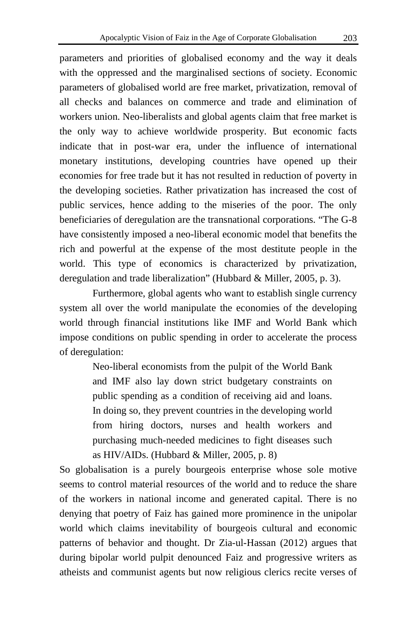parameters and priorities of globalised economy and the way it deals with the oppressed and the marginalised sections of society. Economic parameters of globalised world are free market, privatization, removal of all checks and balances on commerce and trade and elimination of workers union. Neo-liberalists and global agents claim that free market is the only way to achieve worldwide prosperity. But economic facts indicate that in post-war era, under the influence of international monetary institutions, developing countries have opened up their economies for free trade but it has not resulted in reduction of poverty in the developing societies. Rather privatization has increased the cost of public services, hence adding to the miseries of the poor. The only beneficiaries of deregulation are the transnational corporations. "The G-8 have consistently imposed a neo-liberal economic model that benefits the rich and powerful at the expense of the most destitute people in the world. This type of economics is characterized by privatization, deregulation and trade liberalization" (Hubbard & Miller, 2005, p. 3).

Furthermore, global agents who want to establish single currency system all over the world manipulate the economies of the developing world through financial institutions like IMF and World Bank which impose conditions on public spending in order to accelerate the process of deregulation:

> Neo-liberal economists from the pulpit of the World Bank and IMF also lay down strict budgetary constraints on public spending as a condition of receiving aid and loans. In doing so, they prevent countries in the developing world from hiring doctors, nurses and health workers and purchasing much-needed medicines to fight diseases such as HIV/AIDs. (Hubbard & Miller, 2005, p. 8)

So globalisation is a purely bourgeois enterprise whose sole motive seems to control material resources of the world and to reduce the share of the workers in national income and generated capital. There is no denying that poetry of Faiz has gained more prominence in the unipolar world which claims inevitability of bourgeois cultural and economic patterns of behavior and thought. Dr Zia-ul-Hassan (2012) argues that during bipolar world pulpit denounced Faiz and progressive writers as atheists and communist agents but now religious clerics recite verses of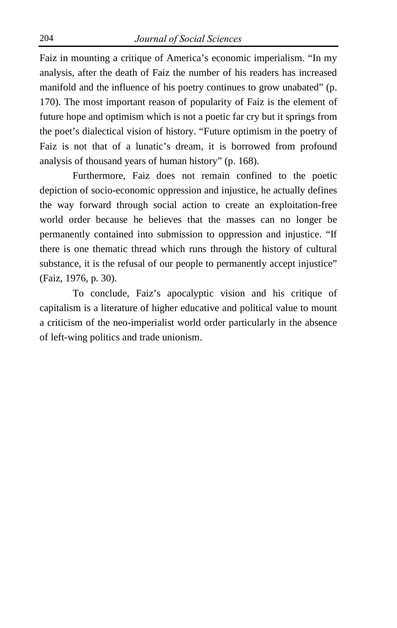Faiz in mounting a critique of America's economic imperialism. "In my analysis, after the death of Faiz the number of his readers has increased manifold and the influence of his poetry continues to grow unabated" (p. 170). The most important reason of popularity of Faiz is the element of future hope and optimism which is not a poetic far cry but it springs from the poet's dialectical vision of history. "Future optimism in the poetry of Faiz is not that of a lunatic's dream, it is borrowed from profound analysis of thousand years of human history" (p. 168).

Furthermore, Faiz does not remain confined to the poetic depiction of socio-economic oppression and injustice, he actually defines the way forward through social action to create an exploitation-free world order because he believes that the masses can no longer be permanently contained into submission to oppression and injustice. "If there is one thematic thread which runs through the history of cultural substance, it is the refusal of our people to permanently accept injustice" (Faiz, 1976, p. 30).

To conclude, Faiz's apocalyptic vision and his critique of capitalism is a literature of higher educative and political value to mount a criticism of the neo-imperialist world order particularly in the absence of left-wing politics and trade unionism.